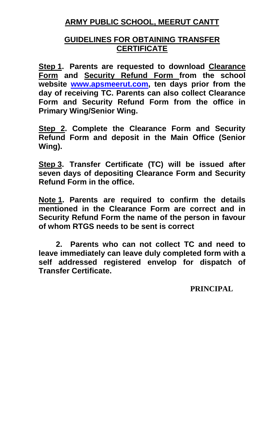# **ARMY PUBLIC SCHOOL, MEERUT CANTT**

## **GUIDELINES FOR OBTAINING TRANSFER CERTIFICATE**

**Step 1. Parents are requested to download Clearance Form and Security Refund Form from the school website [www.apsmeerut.com,](http://www.apsmeerut.com/) ten days prior from the day of receiving TC. Parents can also collect Clearance Form and Security Refund Form from the office in Primary Wing/Senior Wing.**

**Step 2. Complete the Clearance Form and Security Refund Form and deposit in the Main Office (Senior Wing).**

**Step 3. Transfer Certificate (TC) will be issued after seven days of depositing Clearance Form and Security Refund Form in the office.**

**Note 1. Parents are required to confirm the details mentioned in the Clearance Form are correct and in Security Refund Form the name of the person in favour of whom RTGS needs to be sent is correct**

 **2. Parents who can not collect TC and need to leave immediately can leave duly completed form with a self addressed registered envelop for dispatch of Transfer Certificate.** 

### **PRINCIPAL**